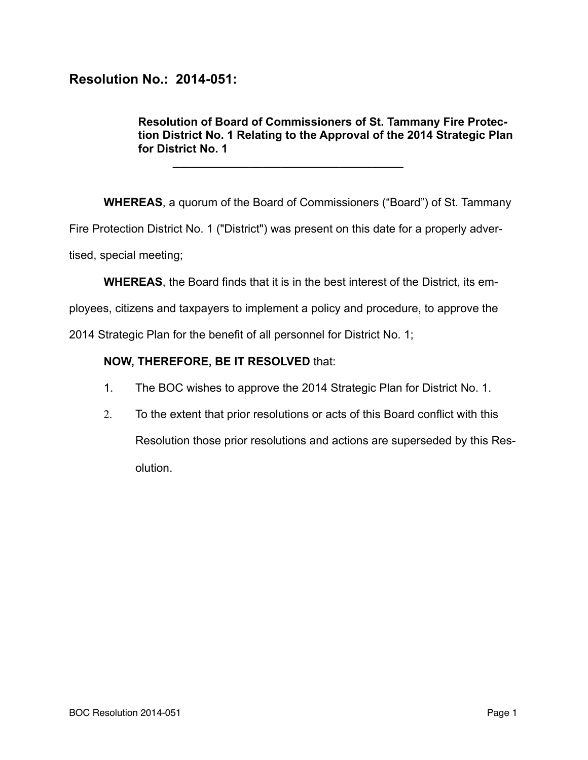## **Resolution No.: 2014-051:**

**Resolution of Board of Commissioners of St. Tammany Fire Protection District No. 1 Relating to the Approval of the 2014 Strategic Plan for District No. 1** 

**WHEREAS**, a quorum of the Board of Commissioners ("Board") of St. Tammany Fire Protection District No. 1 ("District") was present on this date for a properly advertised, special meeting;

**WHEREAS**, the Board finds that it is in the best interest of the District, its em-

ployees, citizens and taxpayers to implement a policy and procedure, to approve the

2014 Strategic Plan for the benefit of all personnel for District No. 1;

**\_\_\_\_\_\_\_\_\_\_\_\_\_\_\_\_\_\_\_\_\_\_\_\_\_\_\_\_\_\_\_\_\_\_\_\_** 

## **NOW, THEREFORE, BE IT RESOLVED** that:

- 1. The BOC wishes to approve the 2014 Strategic Plan for District No. 1.
- 2. To the extent that prior resolutions or acts of this Board conflict with this Resolution those prior resolutions and actions are superseded by this Resolution.